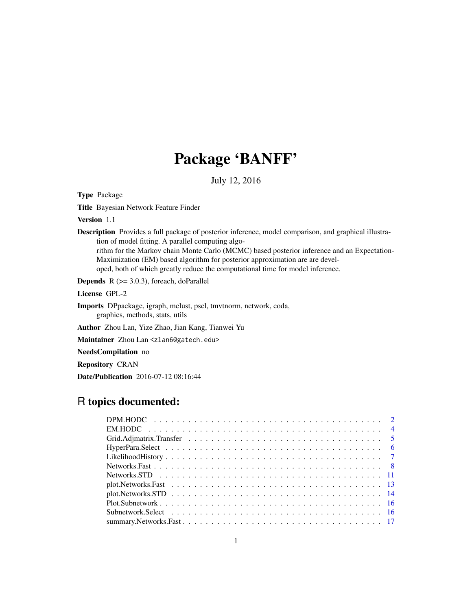# Package 'BANFF'

July 12, 2016

Type Package

Title Bayesian Network Feature Finder

Version 1.1

Description Provides a full package of posterior inference, model comparison, and graphical illustration of model fitting. A parallel computing algo-

rithm for the Markov chain Monte Carlo (MCMC) based posterior inference and an Expectation-Maximization (EM) based algorithm for posterior approximation are are developed, both of which greatly reduce the computational time for model inference.

**Depends**  $R$  ( $>= 3.0.3$ ), foreach, doParallel

License GPL-2

Imports DPpackage, igraph, mclust, pscl, tmvtnorm, network, coda, graphics, methods, stats, utils

Author Zhou Lan, Yize Zhao, Jian Kang, Tianwei Yu

Maintainer Zhou Lan <zlan6@gatech.edu>

NeedsCompilation no

Repository CRAN

Date/Publication 2016-07-12 08:16:44

# R topics documented: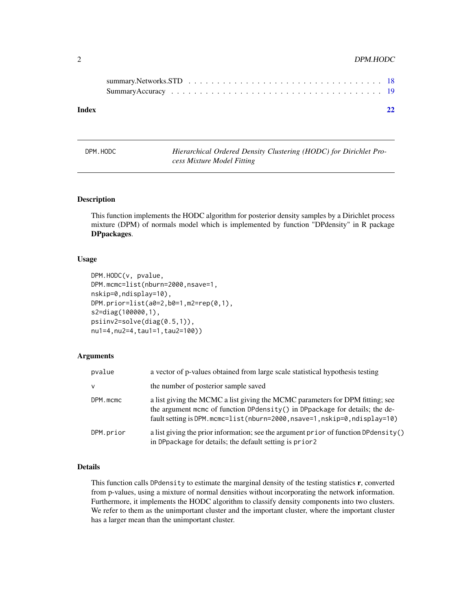## <span id="page-1-0"></span>2 DPM.HODC

| Index |  |  |  |  |  |  |  |  |  |  |  |  |  |  |  |  | 22 |
|-------|--|--|--|--|--|--|--|--|--|--|--|--|--|--|--|--|----|
|       |  |  |  |  |  |  |  |  |  |  |  |  |  |  |  |  |    |

DPM.HODC *Hierarchical Ordered Density Clustering (HODC) for Dirichlet Process Mixture Model Fitting*

## Description

This function implements the HODC algorithm for posterior density samples by a Dirichlet process mixture (DPM) of normals model which is implemented by function "DPdensity" in R package DPpackages.

## Usage

```
DPM.HODC(v, pvalue,
DPM.mcmc=list(nburn=2000,nsave=1,
nskip=0,ndisplay=10),
DPM.prior=list(a0=2,b0=1,m2=rep(0,1),
s2=diag(100000,1),
psiinv2=solve(diag(0.5,1)),
nu1=4,nu2=4,tau1=1,tau2=100))
```
## Arguments

| pvalue       | a vector of p-values obtained from large scale statistical hypothesis testing                                                                                                                                                          |
|--------------|----------------------------------------------------------------------------------------------------------------------------------------------------------------------------------------------------------------------------------------|
| $\mathsf{v}$ | the number of posterior sample saved                                                                                                                                                                                                   |
| DPM.mcmc     | a list giving the MCMC a list giving the MCMC parameters for DPM fitting; see<br>the argument mcmc of function DPdensity() in DPpackage for details; the de-<br>fault setting is DPM.mcmc=list(nburn=2000,nsave=1,nskip=0,ndisplay=10) |
| DPM.prior    | a list giving the prior information; see the argument prior of function DP density()<br>in DPpackage for details; the default setting is prior2                                                                                        |

#### Details

This function calls DPdensity to estimate the marginal density of the testing statistics r, converted from p-values, using a mixture of normal densities without incorporating the network information. Furthermore, it implements the HODC algorithm to classify density components into two clusters. We refer to them as the unimportant cluster and the important cluster, where the important cluster has a larger mean than the unimportant cluster.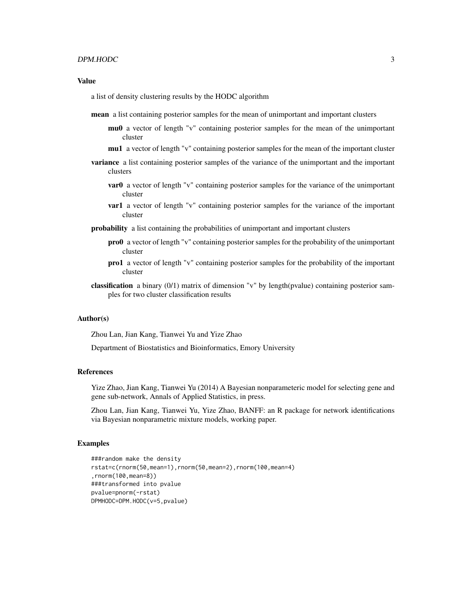#### $DPM.HODC$  3

## Value

a list of density clustering results by the HODC algorithm

- mean a list containing posterior samples for the mean of unimportant and important clusters
	- mu0 a vector of length "v" containing posterior samples for the mean of the unimportant cluster
	- mu1 a vector of length "v" containing posterior samples for the mean of the important cluster
- **variance** a list containing posterior samples of the variance of the unimportant and the important clusters
	- **var0** a vector of length "v" containing posterior samples for the variance of the unimportant cluster
	- var1 a vector of length "v" containing posterior samples for the variance of the important cluster
- probability a list containing the probabilities of unimportant and important clusters
	- pro0 a vector of length "v" containing posterior samples for the probability of the unimportant cluster
	- pro1 a vector of length "v" containing posterior samples for the probability of the important cluster
- classification a binary (0/1) matrix of dimension "v" by length(pvalue) containing posterior samples for two cluster classification results

#### Author(s)

Zhou Lan, Jian Kang, Tianwei Yu and Yize Zhao

Department of Biostatistics and Bioinformatics, Emory University

#### References

Yize Zhao, Jian Kang, Tianwei Yu (2014) A Bayesian nonparameteric model for selecting gene and gene sub-network, Annals of Applied Statistics, in press.

Zhou Lan, Jian Kang, Tianwei Yu, Yize Zhao, BANFF: an R package for network identifications via Bayesian nonparametric mixture models, working paper.

```
###random make the density
rstat=c(rnorm(50,mean=1),rnorm(50,mean=2),rnorm(100,mean=4)
,rnorm(100,mean=8))
###transformed into pvalue
pvalue=pnorm(-rstat)
DPMHODC=DPM.HODC(v=5,pvalue)
```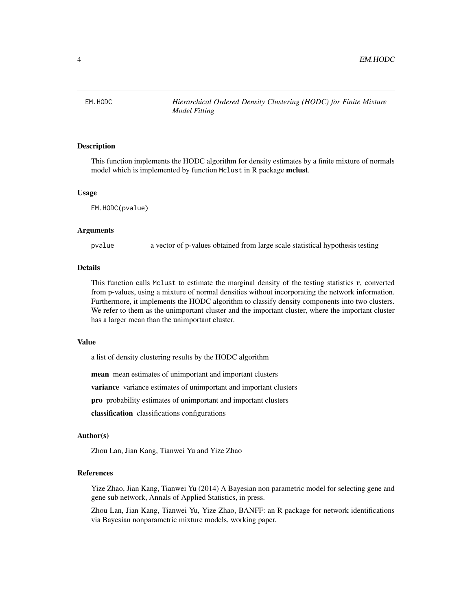<span id="page-3-0"></span>

## **Description**

This function implements the HODC algorithm for density estimates by a finite mixture of normals model which is implemented by function Mclust in R package mclust.

#### Usage

EM.HODC(pvalue)

#### Arguments

pvalue a vector of p-values obtained from large scale statistical hypothesis testing

## Details

This function calls Mclust to estimate the marginal density of the testing statistics r, converted from p-values, using a mixture of normal densities without incorporating the network information. Furthermore, it implements the HODC algorithm to classify density components into two clusters. We refer to them as the unimportant cluster and the important cluster, where the important cluster has a larger mean than the unimportant cluster.

## Value

a list of density clustering results by the HODC algorithm

mean mean estimates of unimportant and important clusters

**variance** variance estimates of unimportant and important clusters

pro probability estimates of unimportant and important clusters

classification classifications configurations

#### Author(s)

Zhou Lan, Jian Kang, Tianwei Yu and Yize Zhao

## References

Yize Zhao, Jian Kang, Tianwei Yu (2014) A Bayesian non parametric model for selecting gene and gene sub network, Annals of Applied Statistics, in press.

Zhou Lan, Jian Kang, Tianwei Yu, Yize Zhao, BANFF: an R package for network identifications via Bayesian nonparametric mixture models, working paper.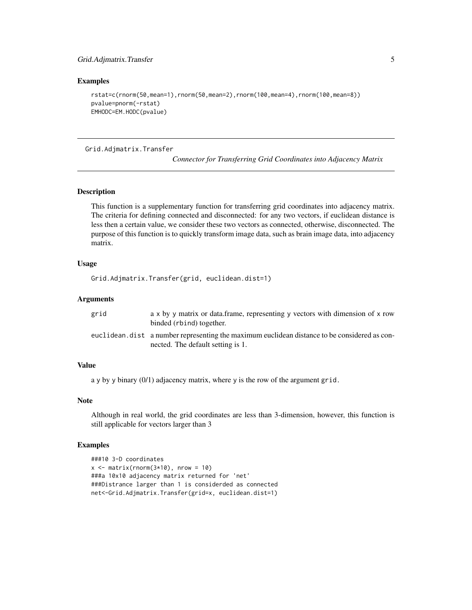## <span id="page-4-0"></span>Examples

```
rstat=c(rnorm(50,mean=1),rnorm(50,mean=2),rnorm(100,mean=4),rnorm(100,mean=8))
pvalue=pnorm(-rstat)
EMHODC=EM.HODC(pvalue)
```
Grid.Adjmatrix.Transfer

*Connector for Transferring Grid Coordinates into Adjacency Matrix*

## Description

This function is a supplementary function for transferring grid coordinates into adjacency matrix. The criteria for defining connected and disconnected: for any two vectors, if euclidean distance is less then a certain value, we consider these two vectors as connected, otherwise, disconnected. The purpose of this function is to quickly transform image data, such as brain image data, into adjacency matrix.

#### Usage

```
Grid.Adjmatrix.Transfer(grid, euclidean.dist=1)
```
## Arguments

| grid | $a \times b$ y matrix or data frame, representing y vectors with dimension of x row<br>binded (rbind) together.                   |
|------|-----------------------------------------------------------------------------------------------------------------------------------|
|      | euclidean.dist a number representing the maximum euclidean distance to be considered as con-<br>nected. The default setting is 1. |

## Value

a y by y binary (0/1) adjacency matrix, where y is the row of the argument grid.

#### Note

Although in real world, the grid coordinates are less than 3-dimension, however, this function is still applicable for vectors larger than 3

```
###10 3-D coordinates
x \le - matrix(rnorm(3*10), nrow = 10)
###a 10x10 adjacency matrix returned for 'net'
###Distrance larger than 1 is considerded as connected
net<-Grid.Adjmatrix.Transfer(grid=x, euclidean.dist=1)
```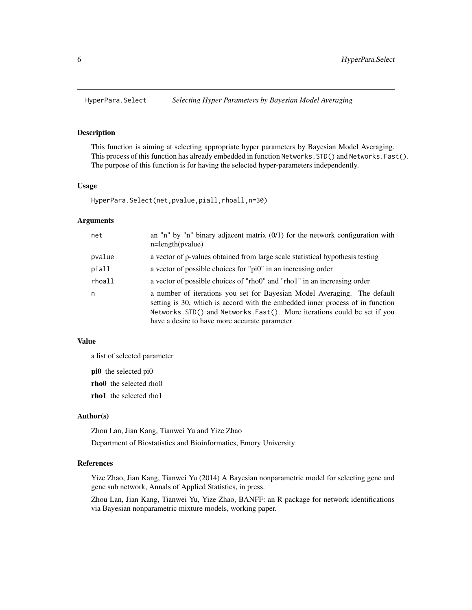<span id="page-5-0"></span>

#### Description

This function is aiming at selecting appropriate hyper parameters by Bayesian Model Averaging. This process of this function has already embedded in function Networks.STD() and Networks.Fast(). The purpose of this function is for having the selected hyper-parameters independently.

## Usage

HyperPara.Select(net,pvalue,piall,rhoall,n=30)

## Arguments

| net    | an "n" by "n" binary adjacent matrix $(0/1)$ for the network configuration with<br>$n = length(pvalue)$                                                                                                                                                                                 |
|--------|-----------------------------------------------------------------------------------------------------------------------------------------------------------------------------------------------------------------------------------------------------------------------------------------|
| pvalue | a vector of p-values obtained from large scale statistical hypothesis testing                                                                                                                                                                                                           |
| piall  | a vector of possible choices for "pi0" in an increasing order                                                                                                                                                                                                                           |
| rhoall | a vector of possible choices of "rho0" and "rho1" in an increasing order                                                                                                                                                                                                                |
| n      | a number of iterations you set for Bayesian Model Averaging. The default<br>setting is 30, which is accord with the embedded inner process of in function<br>Networks. STD() and Networks. Fast(). More iterations could be set if you<br>have a desire to have more accurate parameter |

## Value

a list of selected parameter

pi0 the selected pi0

rho0 the selected rho0

rho1 the selected rho1

#### Author(s)

Zhou Lan, Jian Kang, Tianwei Yu and Yize Zhao Department of Biostatistics and Bioinformatics, Emory University

#### References

Yize Zhao, Jian Kang, Tianwei Yu (2014) A Bayesian nonparametric model for selecting gene and gene sub network, Annals of Applied Statistics, in press.

Zhou Lan, Jian Kang, Tianwei Yu, Yize Zhao, BANFF: an R package for network identifications via Bayesian nonparametric mixture models, working paper.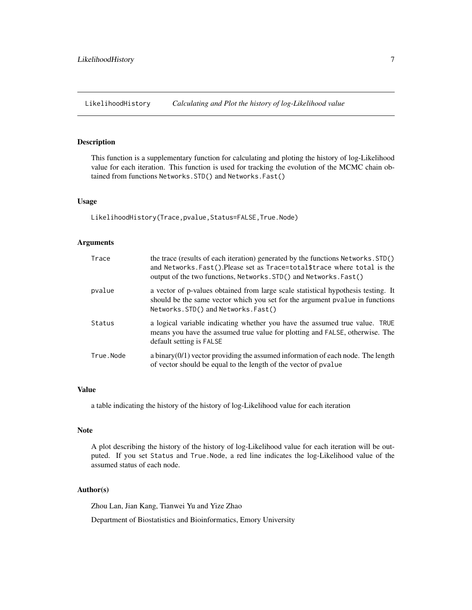<span id="page-6-0"></span>LikelihoodHistory *Calculating and Plot the history of log-Likelihood value*

#### Description

This function is a supplementary function for calculating and ploting the history of log-Likelihood value for each iteration. This function is used for tracking the evolution of the MCMC chain obtained from functions Networks.STD() and Networks.Fast()

## Usage

LikelihoodHistory(Trace,pvalue,Status=FALSE,True.Node)

## Arguments

| Trace     | the trace (results of each iteration) generated by the functions Networks. STD()<br>and Networks. Fast(). Please set as Trace=total\$trace where total is the<br>output of the two functions, Networks. STD() and Networks. Fast() |
|-----------|------------------------------------------------------------------------------------------------------------------------------------------------------------------------------------------------------------------------------------|
| pvalue    | a vector of p-values obtained from large scale statistical hypothesis testing. It<br>should be the same vector which you set for the argument pyalue in functions<br>Networks.STD() and Networks.Fast()                            |
| Status    | a logical variable indicating whether you have the assumed true value. TRUE<br>means you have the assumed true value for plotting and FALSE, otherwise. The<br>default setting is FALSE                                            |
| True.Node | a binary $(0/1)$ vector providing the assumed information of each node. The length<br>of vector should be equal to the length of the vector of pvalue                                                                              |

## Value

a table indicating the history of the history of log-Likelihood value for each iteration

#### Note

A plot describing the history of the history of log-Likelihood value for each iteration will be outputed. If you set Status and True.Node, a red line indicates the log-Likelihood value of the assumed status of each node.

## Author(s)

Zhou Lan, Jian Kang, Tianwei Yu and Yize Zhao

Department of Biostatistics and Bioinformatics, Emory University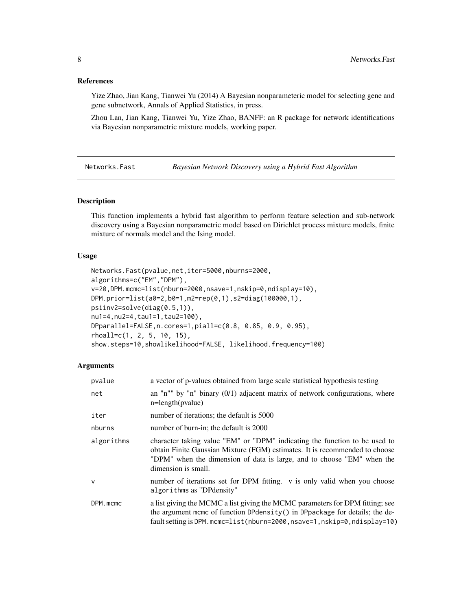## <span id="page-7-0"></span>References

Yize Zhao, Jian Kang, Tianwei Yu (2014) A Bayesian nonparameteric model for selecting gene and gene subnetwork, Annals of Applied Statistics, in press.

Zhou Lan, Jian Kang, Tianwei Yu, Yize Zhao, BANFF: an R package for network identifications via Bayesian nonparametric mixture models, working paper.

<span id="page-7-1"></span>Networks.Fast *Bayesian Network Discovery using a Hybrid Fast Algorithm*

## Description

This function implements a hybrid fast algorithm to perform feature selection and sub-network discovery using a Bayesian nonparametric model based on Dirichlet process mixture models, finite mixture of normals model and the Ising model.

## Usage

```
Networks.Fast(pvalue,net,iter=5000,nburns=2000,
algorithms=c("EM","DPM"),
v=20,DPM.mcmc=list(nburn=2000,nsave=1,nskip=0,ndisplay=10),
DPM.prior=list(a0=2,b0=1,m2=rep(0,1),s2=diag(100000,1),
psiinv2=solve(diag(0.5,1)),
nu1=4,nu2=4,tau1=1,tau2=100),
DPparallel=FALSE,n.cores=1,piall=c(0.8, 0.85, 0.9, 0.95),
rhoall=c(1, 2, 5, 10, 15),
show.steps=10,showlikelihood=FALSE, likelihood.frequency=100)
```
#### Arguments

| pvalue       | a vector of p-values obtained from large scale statistical hypothesis testing                                                                                                                                                                              |
|--------------|------------------------------------------------------------------------------------------------------------------------------------------------------------------------------------------------------------------------------------------------------------|
| net          | an "n"" by "n" binary $(0/1)$ adjacent matrix of network configurations, where<br>$n = length(pvalue)$                                                                                                                                                     |
| iter         | number of iterations; the default is 5000                                                                                                                                                                                                                  |
| nburns       | number of burn-in; the default is 2000                                                                                                                                                                                                                     |
| algorithms   | character taking value "EM" or "DPM" indicating the function to be used to<br>obtain Finite Gaussian Mixture (FGM) estimates. It is recommended to choose<br>"DPM" when the dimension of data is large, and to choose "EM" when the<br>dimension is small. |
| $\mathsf{V}$ | number of iterations set for DPM fitting. v is only valid when you choose<br>algorithms as "DPdensity"                                                                                                                                                     |
| DPM.mcmc     | a list giving the MCMC a list giving the MCMC parameters for DPM fitting; see<br>the argument mcmc of function DPdensity() in DPpackage for details; the de-<br>fault setting is DPM.mcmc=list(nburn=2000,nsave=1,nskip=0,ndisplay=10)                     |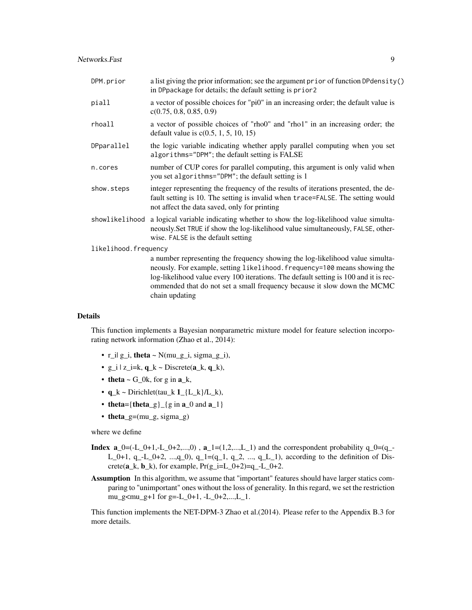| DPM.prior            | a list giving the prior information; see the argument prior of function DPdensity()<br>in DPpackage for details; the default setting is prior2                                                                                                                                                                                                   |
|----------------------|--------------------------------------------------------------------------------------------------------------------------------------------------------------------------------------------------------------------------------------------------------------------------------------------------------------------------------------------------|
| piall                | a vector of possible choices for "pi0" in an increasing order; the default value is<br>c(0.75, 0.8, 0.85, 0.9)                                                                                                                                                                                                                                   |
| rhoall               | a vector of possible choices of "rho0" and "rho1" in an increasing order; the<br>default value is $c(0.5, 1, 5, 10, 15)$                                                                                                                                                                                                                         |
| DPparallel           | the logic variable indicating whether apply parallel computing when you set<br>algorithms="DPM"; the default setting is FALSE                                                                                                                                                                                                                    |
| n.cores              | number of CUP cores for parallel computing, this argument is only valid when<br>you set algorithms="DPM"; the default setting is 1                                                                                                                                                                                                               |
| show.steps           | integer representing the frequency of the results of iterations presented, the de-<br>fault setting is 10. The setting is invalid when trace=FALSE. The setting would<br>not affect the data saved, only for printing                                                                                                                            |
|                      | showlikelihood a logical variable indicating whether to show the log-likelihood value simulta-<br>neously. Set TRUE if show the log-likelihood value simultaneously, FALSE, other-<br>wise. FALSE is the default setting                                                                                                                         |
| likelihood.frequency |                                                                                                                                                                                                                                                                                                                                                  |
|                      | a number representing the frequency showing the log-likelihood value simulta-<br>neously. For example, setting likelihood. frequency=100 means showing the<br>log-likelihood value every 100 iterations. The default setting is 100 and it is rec-<br>ommended that do not set a small frequency because it slow down the MCMC<br>chain updating |

## Details

This function implements a Bayesian nonparametric mixture model for feature selection incorporating network information (Zhao et al., 2014):

- r\_i| g\_i, theta ~  $N(mu_g_i, sigma_g_i)$ ,
- g\_i | z\_i=k,  $q_k$  ~ Discrete( $a_k$ ,  $q_k$ ),
- theta  $\sim$  G\_0k, for g in a\_k,
- $q_k \sim \text{Dirichlet}(\text{tau}_k \mathbf{1}_{\text{-}} \{L_k\}/L_k),$
- theta={theta\_g}  $\{g \in \mathbf{a}_0 \}$  and  $\mathbf{a}_1$ }
- theta\_g=(mu\_g, sigma\_g)

where we define

- **Index a\_0=(-L\_0+1,-L\_0+2,...,0)**,  $\mathbf{a}_{-1} = (1, 2, ..., L_{-1})$  and the correspondent probability  $q_0 = (q_0 q_1)$ L\_0+1, q\_-L\_0+2, ...,q\_0), q\_1=(q\_1, q\_2, ..., q\_L\_1), according to the definition of Discrete( $a_k$ ,  $b_k$ ), for example,  $Pr(g_i=L_0+2)=q_i-L_0+2$ .
- Assumption In this algorithm, we assume that "important" features should have larger statics comparing to "unimportant" ones without the loss of generality. In this regard, we set the restriction mu\_g $\leq$ mu\_g+1 for g=-L\_0+1, -L\_0+2,...,L\_1.

This function implements the NET-DPM-3 Zhao et al.(2014). Please refer to the Appendix B.3 for more details.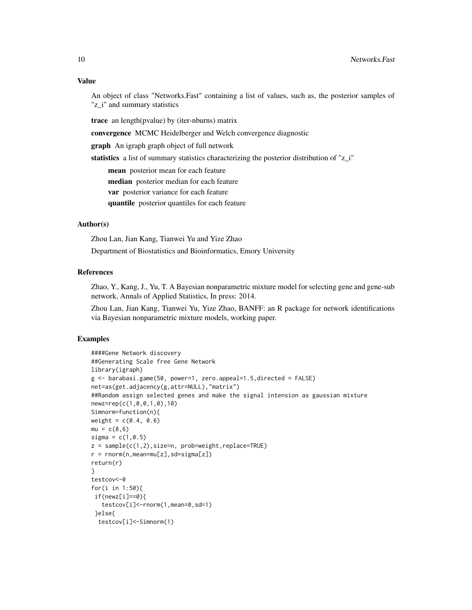## Value

An object of class "Networks.Fast" containing a list of values, such as, the posterior samples of "z\_i" and summary statistics

trace an length(pvalue) by (iter-nburns) matrix

convergence MCMC Heidelberger and Welch convergence diagnostic

graph An igraph graph object of full network

statistics a list of summary statistics characterizing the posterior distribution of "z\_i"

mean posterior mean for each feature median posterior median for each feature

var posterior variance for each feature

quantile posterior quantiles for each feature

# Author(s)

Zhou Lan, Jian Kang, Tianwei Yu and Yize Zhao Department of Biostatistics and Bioinformatics, Emory University

## References

Zhao, Y., Kang, J., Yu, T. A Bayesian nonparametric mixture model for selecting gene and gene-sub network, Annals of Applied Statistics, In press: 2014.

Zhou Lan, Jian Kang, Tianwei Yu, Yize Zhao, BANFF: an R package for network identifications via Bayesian nonparametric mixture models, working paper.

```
####Gene Network discovery
##Generating Scale free Gene Network
library(igraph)
g <- barabasi.game(50, power=1, zero.appeal=1.5,directed = FALSE)
net=as(get.adjacency(g,attr=NULL),"matrix")
##Random assign selected genes and make the signal intension as gaussian mixture
newz=rep(c(1,0,0,1,0),10)
Simnorm=function(n){
weight = c(0.4, 0.6)mu = c(8, 6)signa = c(1, 0.5)z = sample(c(1, 2), size=n, prob=weight, replace=TRUE)r = rnorm(n,mean=mu[z], sd=sigma[z])return(r)
}
testcov<-0
for(i in 1:50){
 if(newz[i]==0){
   testcov[i]<-rnorm(1,mean=0,sd=1)
 }else{
  testcov[i]<-Simnorm(1)
```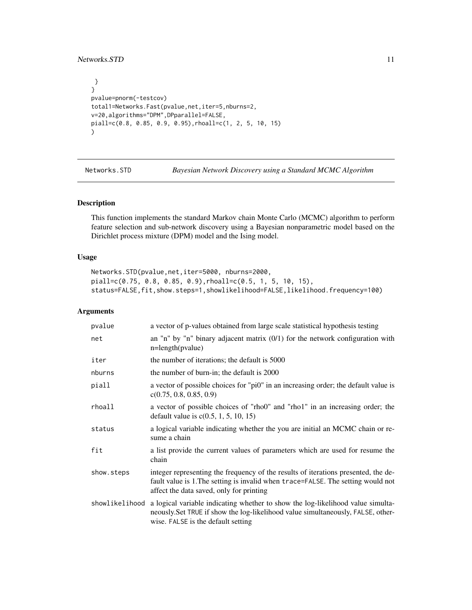## <span id="page-10-0"></span>Networks.STD 11

```
}
}
pvalue=pnorm(-testcov)
total1=Networks.Fast(pvalue,net,iter=5,nburns=2,
v=20,algorithms="DPM",DPparallel=FALSE,
piall=c(0.8, 0.85, 0.9, 0.95),rhoall=c(1, 2, 5, 10, 15)
\mathcal{L}
```
<span id="page-10-1"></span>Networks.STD *Bayesian Network Discovery using a Standard MCMC Algorithm*

## Description

This function implements the standard Markov chain Monte Carlo (MCMC) algorithm to perform feature selection and sub-network discovery using a Bayesian nonparametric model based on the Dirichlet process mixture (DPM) model and the Ising model.

#### Usage

```
Networks.STD(pvalue,net,iter=5000, nburns=2000,
piall=c(0.75, 0.8, 0.85, 0.9),rhoall=c(0.5, 1, 5, 10, 15),
status=FALSE,fit,show.steps=1,showlikelihood=FALSE,likelihood.frequency=100)
```
#### Arguments

| pvalue         | a vector of p-values obtained from large scale statistical hypothesis testing                                                                                                                                      |
|----------------|--------------------------------------------------------------------------------------------------------------------------------------------------------------------------------------------------------------------|
| net            | an "n" by "n" binary adjacent matrix $(0/1)$ for the network configuration with<br>$n = length(pvalue)$                                                                                                            |
| iter           | the number of iterations; the default is 5000                                                                                                                                                                      |
| nburns         | the number of burn-in; the default is 2000                                                                                                                                                                         |
| piall          | a vector of possible choices for "pi0" in an increasing order; the default value is<br>c(0.75, 0.8, 0.85, 0.9)                                                                                                     |
| rhoall         | a vector of possible choices of "rho0" and "rho1" in an increasing order; the<br>default value is $c(0.5, 1, 5, 10, 15)$                                                                                           |
| status         | a logical variable indicating whether the you are initial an MCMC chain or re-<br>sume a chain                                                                                                                     |
| fit            | a list provide the current values of parameters which are used for resume the<br>chain                                                                                                                             |
| show.steps     | integer representing the frequency of the results of iterations presented, the de-<br>fault value is 1. The setting is invalid when trace=FALSE. The setting would not<br>affect the data saved, only for printing |
| showlikelihood | a logical variable indicating whether to show the log-likelihood value simulta-<br>neously. Set TRUE if show the log-likelihood value simultaneously, FALSE, other-<br>wise. FALSE is the default setting          |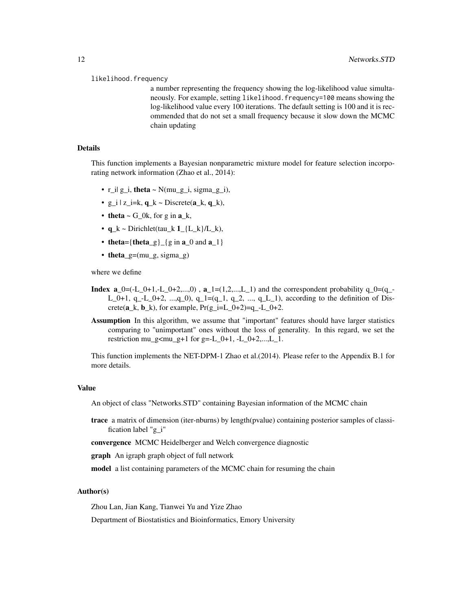#### likelihood.frequency

a number representing the frequency showing the log-likelihood value simultaneously. For example, setting likelihood.frequency=100 means showing the log-likelihood value every 100 iterations. The default setting is 100 and it is recommended that do not set a small frequency because it slow down the MCMC chain updating

#### Details

This function implements a Bayesian nonparametric mixture model for feature selection incorporating network information (Zhao et al., 2014):

- r\_i| g\_i, theta ~  $N(mu_g_i, sigma_g_i)$ ,
- $g_i$  |  $z_i = k$ ,  $q_k \sim$  Discrete( $a_k$ ,  $q_k$ ),
- theta  $\sim$  G\_0k, for g in a\_k,
- $q_k \sim \text{Dirichlet}(\text{tau}_k \cdot 1_{L_k})/L_k$
- theta={theta\_g}\_{g in  $a_0$  and  $a_1$ }
- theta\_g= $(mu_g, sigma_g)$

where we define

- **Index a\_0=(-L\_0+1,-L\_0+2,...,0)**, **a\_1=(1,2,...,L\_1)** and the correspondent probability  $q_0 = (q_0 q_1)$ L\_0+1, q\_-L\_0+2, ...,q\_0), q\_1=(q\_1, q\_2, ..., q\_L\_1), according to the definition of Discrete( $\mathbf{a}_k$ ,  $\mathbf{b}_k$ ), for example,  $Pr(g_i=i=L_0+2)=q_i-L_0+2$ .
- Assumption In this algorithm, we assume that "important" features should have larger statistics comparing to "unimportant" ones without the loss of generality. In this regard, we set the restriction mu\_g<mu\_g+1 for g=-L\_0+1, -L\_0+2,...,L\_1.

This function implements the NET-DPM-1 Zhao et al.(2014). Please refer to the Appendix B.1 for more details.

#### Value

An object of class "Networks.STD" containing Bayesian information of the MCMC chain

- trace a matrix of dimension (iter-nburns) by length(pvalue) containing posterior samples of classification label "g\_i"
- convergence MCMC Heidelberger and Welch convergence diagnostic

graph An igraph graph object of full network

model a list containing parameters of the MCMC chain for resuming the chain

## Author(s)

Zhou Lan, Jian Kang, Tianwei Yu and Yize Zhao

Department of Biostatistics and Bioinformatics, Emory University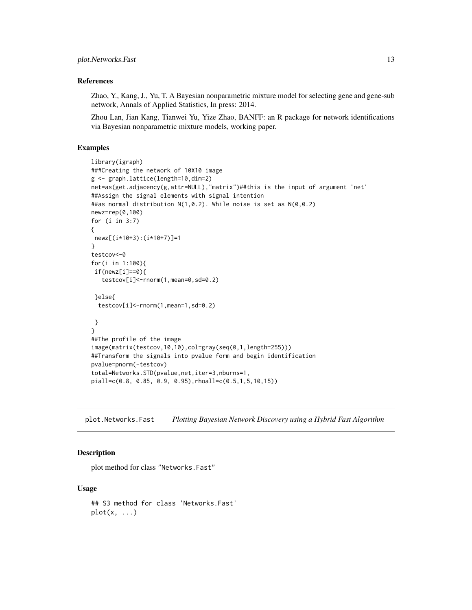## <span id="page-12-0"></span>References

Zhao, Y., Kang, J., Yu, T. A Bayesian nonparametric mixture model for selecting gene and gene-sub network, Annals of Applied Statistics, In press: 2014.

Zhou Lan, Jian Kang, Tianwei Yu, Yize Zhao, BANFF: an R package for network identifications via Bayesian nonparametric mixture models, working paper.

## Examples

```
library(igraph)
###Creating the network of 10X10 image
g <- graph.lattice(length=10,dim=2)
net=as(get.adjacency(g,attr=NULL),"matrix")##this is the input of argument 'net'
##Assign the signal elements with signal intention
##as normal distribution N(1,0.2). While noise is set as N(0,0.2)
newz=rep(0,100)
for (i in 3:7)
{
newz[(i*10+3):(i*10+7)]=1
}
testcov<-0
for(i in 1:100){
if(newz[i]==0){
   testcov[i]<-rnorm(1,mean=0,sd=0.2)
 }else{
 testcov[i]<-rnorm(1,mean=1,sd=0.2)
}
}
##The profile of the image
image(matrix(testcov,10,10),col=gray(seq(0,1,length=255)))
##Transform the signals into pvalue form and begin identification
pvalue=pnorm(-testcov)
total=Networks.STD(pvalue,net,iter=3,nburns=1,
piall=c(0.8, 0.85, 0.9, 0.95),rhoall=c(0.5,1,5,10,15))
```
plot.Networks.Fast *Plotting Bayesian Network Discovery using a Hybrid Fast Algorithm*

# Description

plot method for class "Networks.Fast"

#### Usage

## S3 method for class 'Networks.Fast'  $plot(x, \ldots)$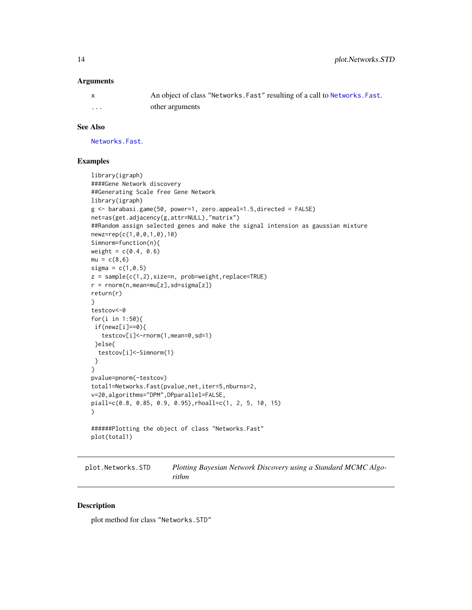## <span id="page-13-0"></span>**Arguments**

|   | An object of class "Networks. Fast" resulting of a call to Networks. Fast. |
|---|----------------------------------------------------------------------------|
| . | other arguments                                                            |

#### See Also

[Networks.Fast](#page-7-1).

## Examples

```
library(igraph)
####Gene Network discovery
##Generating Scale free Gene Network
library(igraph)
g <- barabasi.game(50, power=1, zero.appeal=1.5,directed = FALSE)
net=as(get.adjacency(g,attr=NULL),"matrix")
##Random assign selected genes and make the signal intension as gaussian mixture
newz=rep(c(1,0,0,1,0),10)
Simnorm=function(n){
weight = c(0.4, 0.6)mu = c(8, 6)signa = c(1, 0.5)z = sample(c(1,2),size=n, prob=weight,replace=TRUE)
r = rnorm(n,mean=mu[z], sd=sigma[z])return(r)
}
testcov<-0
for(i in 1:50){
if(newz[i]==0){
   testcov[i]<-rnorm(1,mean=0,sd=1)
 }else{
  testcov[i]<-Simnorm(1)
 }
}
pvalue=pnorm(-testcov)
total1=Networks.Fast(pvalue,net,iter=5,nburns=2,
v=20,algorithms="DPM",DPparallel=FALSE,
piall=c(0.8, 0.85, 0.9, 0.95),rhoall=c(1, 2, 5, 10, 15)
)
######Plotting the object of class "Networks.Fast"
plot(total1)
```
plot.Networks.STD *Plotting Bayesian Network Discovery using a Standard MCMC Algorithm*

## Description

plot method for class "Networks.STD"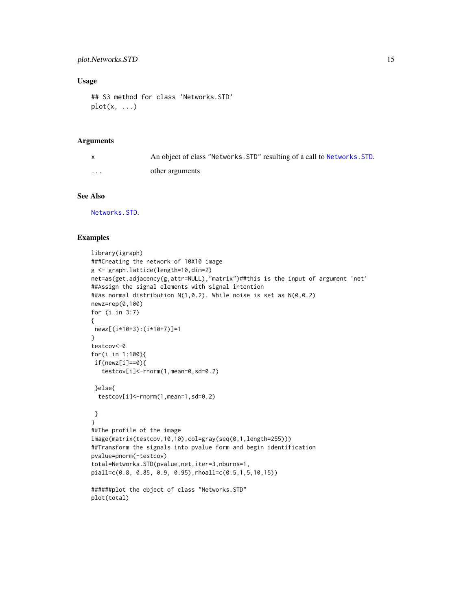## <span id="page-14-0"></span>Usage

```
## S3 method for class 'Networks.STD'
plot(x, \ldots)
```
## Arguments

|          | An object of class "Networks. STD" resulting of a call to Networks. STD. |
|----------|--------------------------------------------------------------------------|
| $\cdots$ | other arguments                                                          |

## See Also

[Networks.STD](#page-10-1).

```
library(igraph)
###Creating the network of 10X10 image
g <- graph.lattice(length=10,dim=2)
net=as(get.adjacency(g,attr=NULL),"matrix")##this is the input of argument 'net'
##Assign the signal elements with signal intention
##as normal distribution N(1,0.2). While noise is set as N(0,0.2)
newz=rep(0,100)
for (i in 3:7)
{
newz[(i*10+3):(i*10+7)]=1
}
testcov<-0
for(i in 1:100){
if(newz[i]==0){
  testcov[i]<-rnorm(1,mean=0,sd=0.2)
 }else{
 testcov[i]<-rnorm(1,mean=1,sd=0.2)
 }
}
##The profile of the image
image(matrix(testcov,10,10),col=gray(seq(0,1,length=255)))
##Transform the signals into pvalue form and begin identification
pvalue=pnorm(-testcov)
total=Networks.STD(pvalue,net,iter=3,nburns=1,
piall=c(0.8, 0.85, 0.9, 0.95),rhoall=c(0.5,1,5,10,15))
######plot the object of class "Networks.STD"
plot(total)
```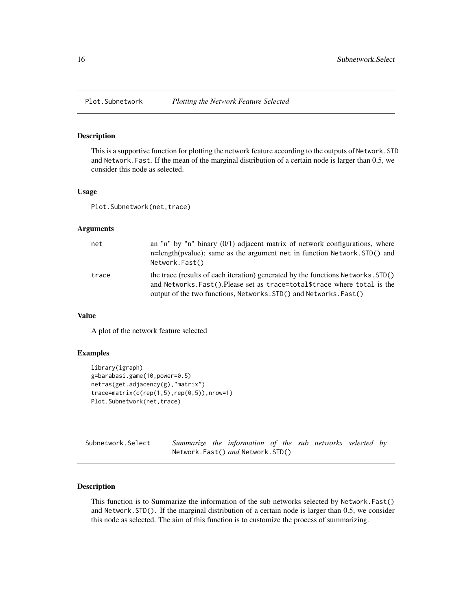<span id="page-15-0"></span>

## Description

This is a supportive function for plotting the network feature according to the outputs of Network.STD and Network.Fast. If the mean of the marginal distribution of a certain node is larger than 0.5, we consider this node as selected.

## Usage

Plot. Subnetwork(net, trace)

#### Arguments

| net   | an "n" by "n" binary $(0/1)$ adjacent matrix of network configurations, where<br>n=length(pyalue); same as the argument net in function Network.STD() and<br>Network.Fast()                                                         |
|-------|-------------------------------------------------------------------------------------------------------------------------------------------------------------------------------------------------------------------------------------|
| trace | the trace (results of each iteration) generated by the functions Networks. STD()<br>and Networks. Fast(). Please set as trace=total \$trace where total is the<br>output of the two functions, Networks. STD() and Networks. Fast() |

## Value

A plot of the network feature selected

## Examples

```
library(igraph)
g=barabasi.game(10,power=0.5)
net=as(get.adjacency(g),"matrix")
trace=matrix(c(rep(1,5),rep(0,5)),nrow=1)
Plot.Subnetwork(net,trace)
```

| Subnetwork.Select |  | Summarize the information of the sub networks selected by |  |  |  |
|-------------------|--|-----------------------------------------------------------|--|--|--|
|                   |  | Network.Fast() and Network.STD()                          |  |  |  |

## Description

This function is to Summarize the information of the sub networks selected by Network.Fast() and Network.STD(). If the marginal distribution of a certain node is larger than 0.5, we consider this node as selected. The aim of this function is to customize the process of summarizing.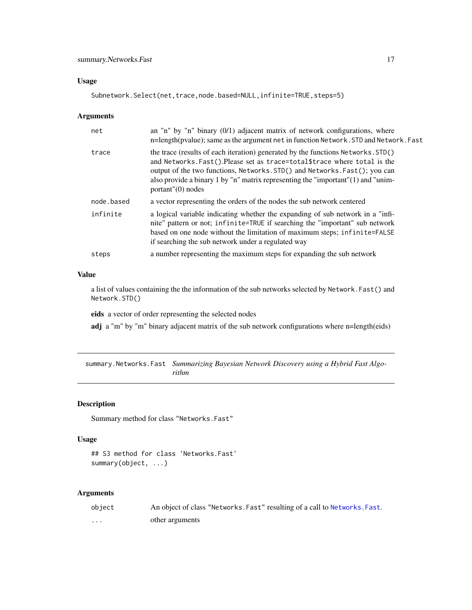## <span id="page-16-0"></span>Usage

Subnetwork.Select(net,trace,node.based=NULL,infinite=TRUE,steps=5)

## Arguments

| net        | an "n" by "n" binary $(0/1)$ adjacent matrix of network configurations, where<br>n=length(pvalue); same as the argument net in function Network. STD and Network. Fast                                                                                                                                                                                    |
|------------|-----------------------------------------------------------------------------------------------------------------------------------------------------------------------------------------------------------------------------------------------------------------------------------------------------------------------------------------------------------|
| trace      | the trace (results of each iteration) generated by the functions Networks. STD()<br>and Networks. Fast(). Please set as trace=total \$trace where total is the<br>output of the two functions, Networks. STD() and Networks. Fast(); you can<br>also provide a binary 1 by "n" matrix representing the "important" (1) and "unim-<br>$portant''(0)$ nodes |
| node.based | a vector representing the orders of the nodes the sub network centered                                                                                                                                                                                                                                                                                    |
| infinite   | a logical variable indicating whether the expanding of sub network in a "infi-<br>nite" pattern or not; infinite=TRUE if searching the "important" sub network<br>based on one node without the limitation of maximum steps; infinite=FALSE<br>if searching the sub network under a regulated way                                                         |
| steps      | a number representing the maximum steps for expanding the sub network                                                                                                                                                                                                                                                                                     |

## Value

a list of values containing the the information of the sub networks selected by Network.Fast() and Network.STD()

eids a vector of order representing the selected nodes

adj a "m" by "m" binary adjacent matrix of the sub network configurations where n=length(eids)

summary.Networks.Fast *Summarizing Bayesian Network Discovery using a Hybrid Fast Algorithm*

## Description

Summary method for class "Networks.Fast"

## Usage

```
## S3 method for class 'Networks.Fast'
summary(object, ...)
```
## Arguments

| object | An object of class "Networks. Fast" resulting of a call to Networks. Fast. |
|--------|----------------------------------------------------------------------------|
| .      | other arguments                                                            |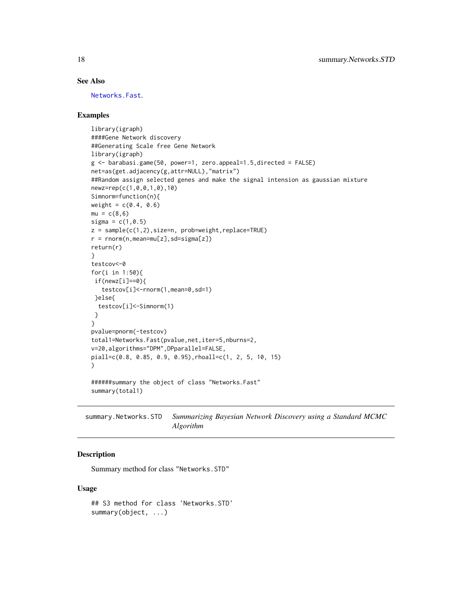# See Also

[Networks.Fast](#page-7-1).

## Examples

```
library(igraph)
####Gene Network discovery
##Generating Scale free Gene Network
library(igraph)
g <- barabasi.game(50, power=1, zero.appeal=1.5,directed = FALSE)
net=as(get.adjacency(g,attr=NULL),"matrix")
##Random assign selected genes and make the signal intension as gaussian mixture
newz=rep(c(1,0,0,1,0),10)
Simnorm=function(n){
weight = c(0.4, 0.6)mu = c(8, 6)signa = c(1, 0.5)z = sample(c(1, 2), size=n, prob=weight, replace=TRUE)r = rnorm(n,mean=mu[z], sd=sigma[z])return(r)
}
testcov<-0
for(i in 1:50){
 if(newz[i]==0){
   testcov[i]<-rnorm(1,mean=0,sd=1)
 }else{
  testcov[i]<-Simnorm(1)
 }
}
pvalue=pnorm(-testcov)
total1=Networks.Fast(pvalue,net,iter=5,nburns=2,
v=20,algorithms="DPM",DPparallel=FALSE,
piall=c(0.8, 0.85, 0.9, 0.95),rhoall=c(1, 2, 5, 10, 15)
)
######summary the object of class "Networks.Fast"
summary(total1)
```
summary.Networks.STD *Summarizing Bayesian Network Discovery using a Standard MCMC Algorithm*

## Description

Summary method for class "Networks.STD"

#### Usage

## S3 method for class 'Networks.STD' summary(object, ...)

<span id="page-17-0"></span>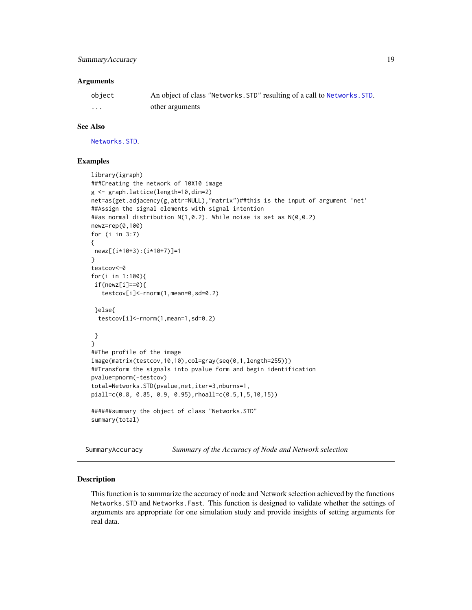## <span id="page-18-0"></span>SummaryAccuracy 19

#### **Arguments**

| object | An object of class "Networks. STD" resulting of a call to Networks. STD. |
|--------|--------------------------------------------------------------------------|
| .      | other arguments                                                          |

## See Also

[Networks.STD](#page-10-1).

## Examples

```
library(igraph)
###Creating the network of 10X10 image
g <- graph.lattice(length=10,dim=2)
net=as(get.adjacency(g,attr=NULL),"matrix")##this is the input of argument 'net'
##Assign the signal elements with signal intention
##as normal distribution N(1, 0.2). While noise is set as N(0, 0.2)newz=rep(0,100)
for (i in 3:7)
{
newz[(i*10+3):(i*10+7)]=1
}
testcov<-0
for(i in 1:100){
if(newz[i]=0){
  testcov[i]<-rnorm(1,mean=0,sd=0.2)
}else{
 testcov[i]<-rnorm(1,mean=1,sd=0.2)
}
}
##The profile of the image
image(matrix(testcov,10,10),col=gray(seq(0,1,length=255)))
##Transform the signals into pvalue form and begin identification
pvalue=pnorm(-testcov)
total=Networks.STD(pvalue,net,iter=3,nburns=1,
piall=c(0.8, 0.85, 0.9, 0.95),rhoall=c(0.5,1,5,10,15))
######summary the object of class "Networks.STD"
summary(total)
```
SummaryAccuracy *Summary of the Accuracy of Node and Network selection*

## Description

This function is to summarize the accuracy of node and Network selection achieved by the functions Networks.STD and Networks.Fast. This function is designed to validate whether the settings of arguments are appropriate for one simulation study and provide insights of setting arguments for real data.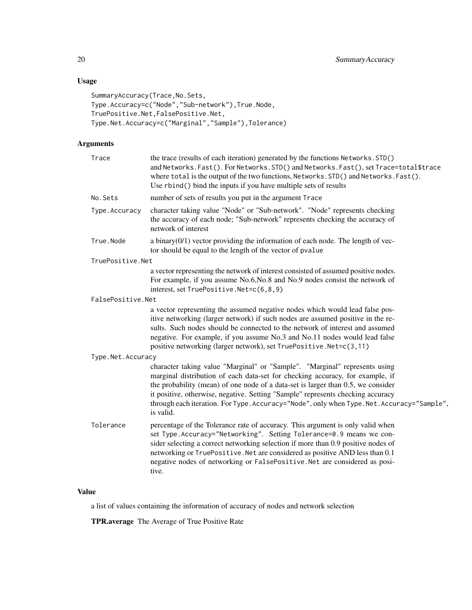# Usage

```
SummaryAccuracy(Trace,No.Sets,
Type.Accuracy=c("Node","Sub-network"),True.Node,
TruePositive.Net,FalsePositive.Net,
Type.Net.Accuracy=c("Marginal","Sample"),Tolerance)
```
# Arguments

| Trace             | the trace (results of each iteration) generated by the functions Networks. STD()<br>and Networks. Fast(). For Networks. STD() and Networks. Fast(), set Trace=total\$trace<br>where total is the output of the two functions, Networks. STD() and Networks. Fast().<br>Use rbind() bind the inputs if you have multiple sets of results                                                                                                       |
|-------------------|-----------------------------------------------------------------------------------------------------------------------------------------------------------------------------------------------------------------------------------------------------------------------------------------------------------------------------------------------------------------------------------------------------------------------------------------------|
| No.Sets           | number of sets of results you put in the argument Trace                                                                                                                                                                                                                                                                                                                                                                                       |
| Type.Accuracy     | character taking value "Node" or "Sub-network". "Node" represents checking<br>the accuracy of each node; "Sub-network" represents checking the accuracy of<br>network of interest                                                                                                                                                                                                                                                             |
| True.Node         | a binary $(0/1)$ vector providing the information of each node. The length of vec-<br>tor should be equal to the length of the vector of pvalue                                                                                                                                                                                                                                                                                               |
| TruePositive.Net  |                                                                                                                                                                                                                                                                                                                                                                                                                                               |
|                   | a vector representing the network of interest consisted of assumed positive nodes.<br>For example, if you assume No.6, No.8 and No.9 nodes consist the network of<br>interest, set TruePositive.Net=c(6,8,9)                                                                                                                                                                                                                                  |
| FalsePositive.Net |                                                                                                                                                                                                                                                                                                                                                                                                                                               |
|                   | a vector representing the assumed negative nodes which would lead false pos-<br>itive networking (larger network) if such nodes are assumed positive in the re-<br>sults. Such nodes should be connected to the network of interest and assumed<br>negative. For example, if you assume No.3 and No.11 nodes would lead false<br>positive networking (larger network), set TruePositive.Net=c(3,11)                                           |
| Type.Net.Accuracy |                                                                                                                                                                                                                                                                                                                                                                                                                                               |
|                   | character taking value "Marginal" or "Sample". "Marginal" represents using<br>marginal distribution of each data-set for checking accuracy, for example, if<br>the probability (mean) of one node of a data-set is larger than 0.5, we consider<br>it positive, otherwise, negative. Setting "Sample" represents checking accuracy<br>through each iteration. For Type. Accuracy="Node", only when Type. Net. Accuracy="Sample",<br>is valid. |
| Tolerance         | percentage of the Tolerance rate of accuracy. This argument is only valid when<br>set Type. Accuracy="Networking". Setting Tolerance=0.9 means we con-<br>sider selecting a correct networking selection if more than 0.9 positive nodes of<br>networking or TruePositive. Net are considered as positive AND less than 0.1<br>negative nodes of networking or FalsePositive.Net are considered as posi-<br>tive.                             |
|                   |                                                                                                                                                                                                                                                                                                                                                                                                                                               |

# Value

a list of values containing the information of accuracy of nodes and network selection

TPR.average The Average of True Positive Rate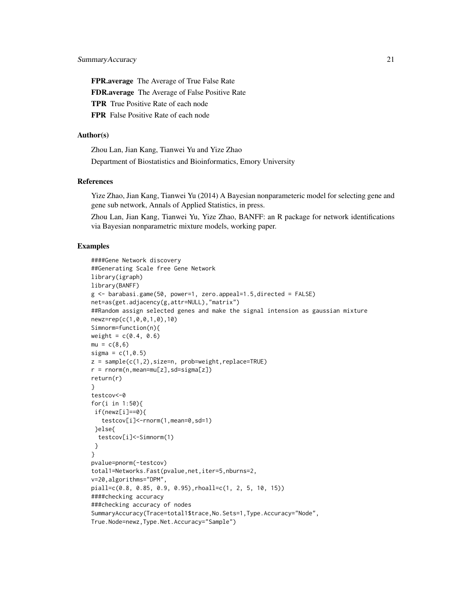FPR.average The Average of True False Rate FDR.average The Average of False Positive Rate TPR True Positive Rate of each node FPR False Positive Rate of each node

## Author(s)

Zhou Lan, Jian Kang, Tianwei Yu and Yize Zhao Department of Biostatistics and Bioinformatics, Emory University

## References

Yize Zhao, Jian Kang, Tianwei Yu (2014) A Bayesian nonparameteric model for selecting gene and gene sub network, Annals of Applied Statistics, in press.

Zhou Lan, Jian Kang, Tianwei Yu, Yize Zhao, BANFF: an R package for network identifications via Bayesian nonparametric mixture models, working paper.

```
####Gene Network discovery
##Generating Scale free Gene Network
library(igraph)
library(BANFF)
g <- barabasi.game(50, power=1, zero.appeal=1.5,directed = FALSE)
net=as(get.adjacency(g,attr=NULL),"matrix")
##Random assign selected genes and make the signal intension as gaussian mixture
newz=rep(c(1,0,0,1,0),10)
Simnorm=function(n){
weight = c(0.4, 0.6)mu = c(8, 6)signa = c(1, 0.5)z = sample(c(1, 2), size=n, prob=weight, replace=TRUE)r = rnorm(n,mean=mu[z], sd=sigma[z])return(r)
}
testcov<-0
for(i in 1:50){
if(newz[i]==0){
   testcov[i]<-rnorm(1,mean=0,sd=1)
 }else{
  testcov[i]<-Simnorm(1)
 }
}
pvalue=pnorm(-testcov)
total1=Networks.Fast(pvalue,net,iter=5,nburns=2,
v=20,algorithms="DPM",
piall=c(0.8, 0.85, 0.9, 0.95),rhoall=c(1, 2, 5, 10, 15))
####checking accuracy
###checking accuracy of nodes
SummaryAccuracy(Trace=total1$trace,No.Sets=1,Type.Accuracy="Node",
True.Node=newz,Type.Net.Accuracy="Sample")
```